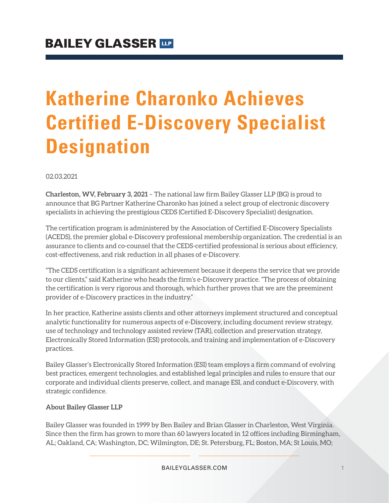# **Katherine Charonko Achieves Certified E-Discovery Specialist Designation**

02.03.2021

**Charleston, WV, February 3, 2021** – The national law firm Bailey Glasser LLP (BG) is proud to announce that BG Partner Katherine Charonko has joined a select group of electronic discovery specialists in achieving the prestigious CEDS (Certified E-Discovery Specialist) designation.

The certification program is administered by the Association of Certified E-Discovery Specialists (ACEDS), the premier global e-Discovery professional membership organization. The credential is an assurance to clients and co-counsel that the CEDS-certified professional is serious about efficiency, cost-effectiveness, and risk reduction in all phases of e-Discovery.

"The CEDS certification is a significant achievement because it deepens the service that we provide to our clients," said Katherine who heads the firm's e-Discovery practice. "The process of obtaining the certification is very rigorous and thorough, which further proves that we are the preeminent provider of e-Discovery practices in the industry."

In her practice, Katherine assists clients and other attorneys implement structured and conceptual analytic functionality for numerous aspects of e-Discovery, including document review strategy, use of technology and technology assisted review (TAR), collection and preservation strategy, Electronically Stored Information (ESI) protocols, and training and implementation of e-Discovery practices.

Bailey Glasser's Electronically Stored Information (ESI) team employs a firm command of evolving best practices, emergent technologies, and established legal principles and rules to ensure that our corporate and individual clients preserve, collect, and manage ESI, and conduct e-Discovery, with strategic confidence.

#### **About Bailey Glasser LLP**

Bailey Glasser was founded in 1999 by Ben Bailey and Brian Glasser in Charleston, West Virginia. Since then the firm has grown to more than 60 lawyers located in 12 offices including Birmingham, AL; Oakland, CA; Washington, DC; Wilmington, DE; St. Petersburg, FL; Boston, MA; St Louis, MO;